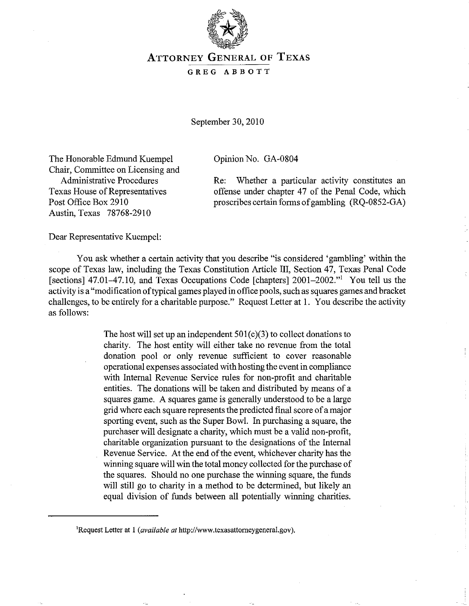

## **ATTORNEY GENERAL OF TEXAS**

## GREG ABBOTT

September 30, 2010

Opinion No. GA-0804

The Honorable Edmund Kuempel Chair, Committee on Licensing and Administrative Procedures Texas House of Representatives Post Office Box 2910 Austin, Texas 78768-2910

Re: Whether a particular activity constitutes an offense under chapter 47 of the Penal Code, which proscribes certain forms of gambling (RQ-0852-GA)

Dear Representative Kuempel:

You ask whether a certain activity that you describe "is considered 'gambling' within the scope of Texas law, including the Texas Constitution Article III, Section 47, Texas Penal Code [sections] 47.01-47.10, and Texas Occupations Code [chapters] 2001-2002."<sup>1</sup> You tell us the activity is a "modification of typical games played in office pools, such as squares games and bracket challenges, to be entirely for a charitable purpose." Request Letter at 1. You describe the activity as follows:

> The host will set up an independent  $501(c)(3)$  to collect donations to charity. The host entity will either take no revenue from the total donation pool or only revenue sufficient to cover reasonable operational expenses associated with hosting the event in compliance with Internal Revenue Service rules for non-profit and charitable entities. The donations will be taken and distributed by means of a squares game. A squares game is generally understood to be a large grid where each square represents the predicted final score of a major sporting event, such as the Super Bowl. In purchasing a square, the purchaser will designate a charity, which must be a valid non-profit, charitable organization pursuant to the designations of the Internal Revenue Service. At the end of the event, whichever charity has the winning square will win the total money collected for the purchase of the squares. Should no one purchase the winning square, the funds will still go to charity in a method to be determined, but likely an equal division of funds between all potentially winning charities.

<sup>&</sup>lt;sup>1</sup>Request Letter at 1 (*available at* http://www.texasattorneygeneral.gov).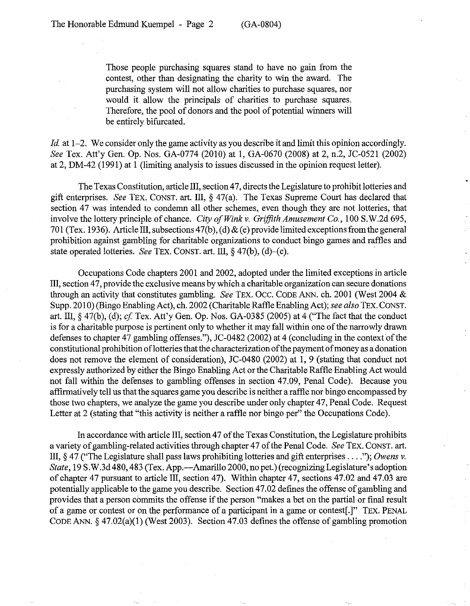Those people purchasing squares stand to have no gain from the contest, other than designating the charity to win the award. The purchasing system will not allow charities to purchase squares, nor would it allow the principals of charities to purchase squares. Therefore, the pool of donors and the pool of potential winners will be entirely bifurcated.

*Id.* at 1-2. We consider only the game activity as you describe it and limit this opinion accordingly. *See* Tex. Att'y Gen. Op. Nos. GA-0774 (2010) at 1, GA-0670 (2008) at 2, n.2, JC-0521 (2002) at 2, DM-42 (1991) at 1 (limiting analysis to issues discussed in the opinion request letter).

The Texas Constitution, article III, section 47, directs the Legislature to prohibit lotteries and gift enterprises. *See* TEX. CONST. art. III, § 47(a). The Texas Supreme Court has declared that section 47 was intended to condemn all other schemes, even though they are not lotteries, that involve the lottery principle of chance. *City of Wink* v. *Griffith Amusement Co.,* 100 S.W.2d 695, 701 (Tex. 1936). Article III, subsections 47(b), (d) & (e) provide limited exceptions from the general prohibition against gambling for charitable organizations to conduct bingo games and raffles and state operated lotteries. *See* TEx. CONST. art. III, § 47(b), (d)-(e).

Occupations Code chapters 2001 and 2002, adopted under the limited exceptions in article III, section 47, provide the exclusive means by which a charitable organization can secure donations through an activity that constitutes gambling. *See* TEx. Occ. CODE ANN. ch. 2001 (West 2004 & Supp. 2010) (Bingo Enabling Act), ch. 2002 (Charitable Raffle Enabling Act); *see also* TEx. CONST. art. III, § 47(b), (d); *cf* Tex. Att'y Gen. Op. Nos. GA-0385 (2005) at 4 ("The fact that the conduct is for a charitable purpose is pertinent only to whether it may fall within one of the narrowly drawn defenses to chapter 47 gambling offenses."), JC-0482 (2002) at 4 (concluding in the context of the constitutional prohibition oflotteries that the characterization of the payment of money as a donation does not remove the element of consideration), JC-0480 (2002) at 1, 9 (stating that conduct not expressly authorized by either the Bingo Enabling Act or the Charitable Raffle Enabling Act would not fall within the defenses to gambling offenses in section 47.09, Penal Code). Because you affirmatively tell us that the squares game you describe is neither a raffle nor bingo encompassed by those two chapters, we analyze the game you describe under only chapter 47, Penal Code. Request Letter at 2 (stating that "this activity is neither a raffle nor bingo per" the Occupations Code).

In accordance with article III, section 47 of the Texas Constitution, the Legislature prohibits a variety of gambling-related activities through chapter 47 of the Penal Code. *See* TEx. CONST. art. III, § 47 ("The Legislature shall pass laws prohibiting lotteries and gift enterprises .... "); *Owens* v. *State,* 19 S.W.3d 480, 483 (Tex. App.-Amarillo 2000, no pet.) (recognizing Legislature's adoption of chapter 47 pursuant to article III, section 47). Within chapter 47, sections 47.02 and 47.03 are potentially applicable to the game you describe. Section 47.02 defines the offense of gambling and provides that a person commits the offense if the person "makes a bet on the partial or final result of a game or contest or on the performance of a participant in a game or contest[.]" TEx. PENAL CODE ANN.  $\S$  47.02(a)(1) (West 2003). Section 47.03 defines the offense of gambling promotion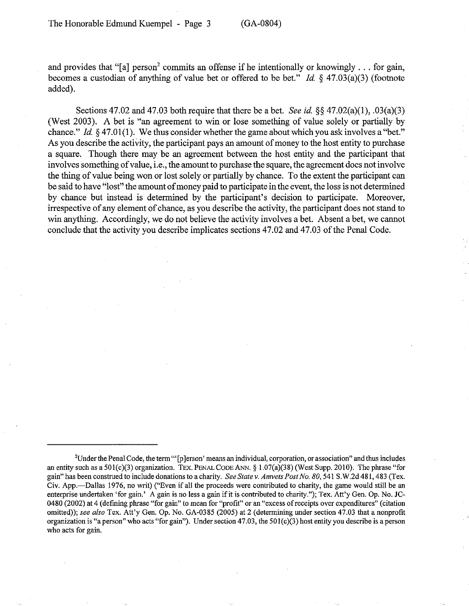and provides that "[a] person<sup>2</sup> commits an offense if he intentionally or knowingly  $\ldots$  for gain, becomes a custodian of anything of value bet or offered to be bet." *Id.* § 47.03(a)(3) (footnote added).

Sections 47.02 and 47.03 both require that there be a bet. *See* id. §§ 47.02(a)(1), .03(a)(3) (West 2003). A bet is "an agreement to win or lose something of value solely or partially by chance." *Id.* § 47.01(1). We thus consider whether the game about which you ask involves a "bet." As you describe the activity, the participant pays an amount of money to the host entity to purchase a square. Though there may be an agreement between the host entity and the participant that involves something of value, i.e., the amount to purchase the square, the agreement does not involve the thing of value being won or lost solely or partially by chance. To the extent the participant can be said to have "lost" the amount of money paid to participate in the event, the loss is not determined by chance but instead is determined by the participant's decision to participate. Moreover, irrespective of any element of chance, as you describe the activity, the participant does not stand to win anything. Accordingly, we do not believe the activity involves a bet. Absent a bet, we cannot conclude that the activity you describe implicates sections 47.02 and 47.03 of the Penal Code.

 $2$ Under the Penal Code, the term " [p] erson' means an individual, corporation, or association" and thus includes an entity such as a  $501(c)(3)$  organization. TEX. PENAL CODE ANN. § 1.07(a)(38) (West Supp. 2010). The phrase "for gain" has been construed to include donations to a charity. *See State* v. *Amvets Post No. 80,* 541 S.W.2d 481, 483 (Tex. Civ. App.-Dallas 1976, no writ) ("Even if all the proceeds were contributed to charity, the game would still be an enterprise undertaken 'for gain.' A gain is no less a gain if it is contributed to charity."); Tex. Att'y Gen. Op. No. JC-0480 (2002) at 4 (defming phrase "for gain" to mean for "profit" or an "excess of receipts over expenditures" (citation omitted)); *see also* Tex. Att'y Gen. Op. No. GA-0385 (2005) at 2 (detennining under section 47.03 that a nonprofit organization is "a person" who acts "for gain"). Under section 47.03, the  $501(c)(3)$  host entity you describe is a person who acts for gain.